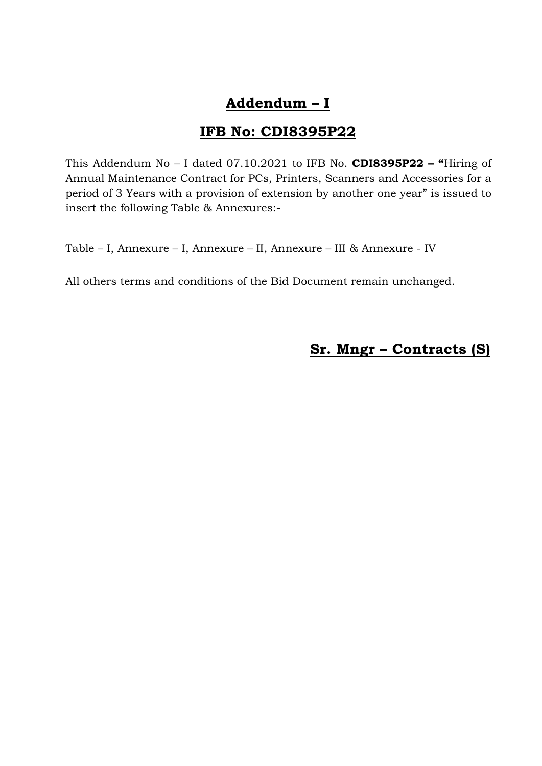# **Addendum – I**

# **IFB No: CDI8395P22**

This Addendum No – I dated 07.10.2021 to IFB No. **CDI8395P22 – "**Hiring of Annual Maintenance Contract for PCs, Printers, Scanners and Accessories for a period of 3 Years with a provision of extension by another one year" is issued to insert the following Table & Annexures:-

Table – I, Annexure – I, Annexure – II, Annexure – III & Annexure - IV

All others terms and conditions of the Bid Document remain unchanged.

**Sr. Mngr – Contracts (S)**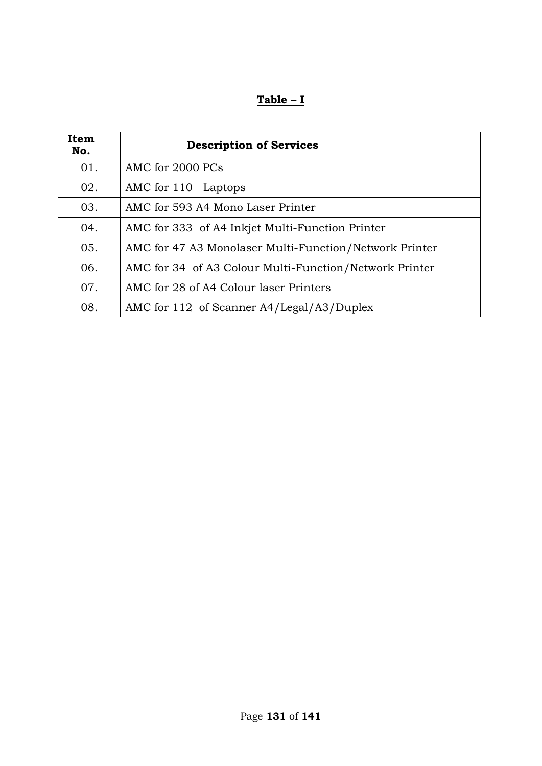# **Table – I**

| Item<br>No. | <b>Description of Services</b>                         |  |  |
|-------------|--------------------------------------------------------|--|--|
| 01.         | AMC for 2000 PCs                                       |  |  |
| 02.         | AMC for 110 Laptops                                    |  |  |
| 03.         | AMC for 593 A4 Mono Laser Printer                      |  |  |
| 04.         | AMC for 333 of A4 Inkjet Multi-Function Printer        |  |  |
| 05.         | AMC for 47 A3 Monolaser Multi-Function/Network Printer |  |  |
| 06.         | AMC for 34 of A3 Colour Multi-Function/Network Printer |  |  |
| 07.         | AMC for 28 of A4 Colour laser Printers                 |  |  |
| 08.         | AMC for 112 of Scanner A4/Legal/A3/Duplex              |  |  |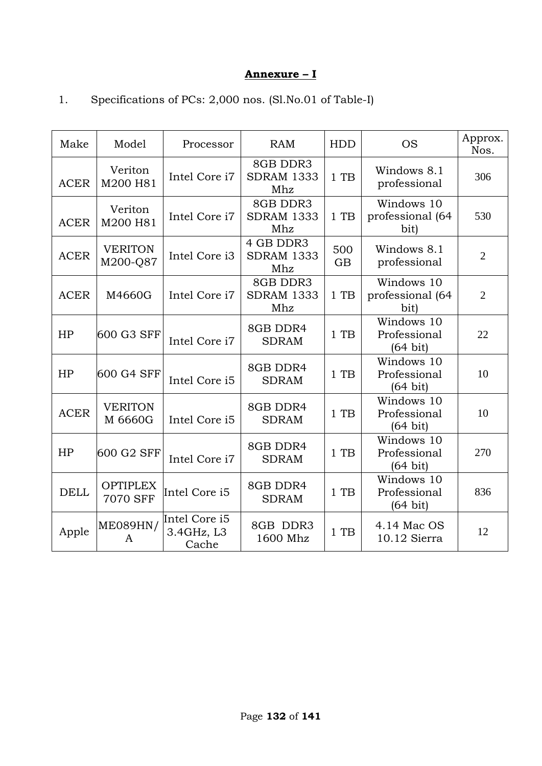## **Annexure – I**

# 1. Specifications of PCs: 2,000 nos. (Sl.No.01 of Table-I)

| Make        | Model                              | Processor                            | <b>RAM</b>                            | <b>HDD</b> | <b>OS</b>                                        | Approx.<br>Nos. |
|-------------|------------------------------------|--------------------------------------|---------------------------------------|------------|--------------------------------------------------|-----------------|
| <b>ACER</b> | Veriton<br>M200 H81                | Intel Core i7                        | 8GB DDR3<br><b>SDRAM 1333</b><br>Mhz  | 1 TB       | Windows 8.1<br>professional                      | 306             |
| <b>ACER</b> | Veriton<br>M200 H81                | Intel Core i7                        | 8GB DDR3<br><b>SDRAM 1333</b><br>Mhz  | 1 TB       | Windows 10<br>professional (64<br>bit)           | 530             |
| <b>ACER</b> | <b>VERITON</b><br>M200-Q87         | Intel Core i3                        | 4 GB DDR3<br><b>SDRAM 1333</b><br>Mhz | 500<br>GB  | Windows 8.1<br>professional                      | $\overline{2}$  |
| <b>ACER</b> | M4660G                             | Intel Core i7                        | 8GB DDR3<br><b>SDRAM 1333</b><br>Mhz  | $1$ TB     | Windows 10<br>professional (64<br>bit)           | $\overline{2}$  |
| HP          | 600 G3 SFF                         | Intel Core i7                        | 8GB DDR4<br><b>SDRAM</b>              | 1 TB       | Windows 10<br>Professional<br>$(64 \text{ bit})$ | 22              |
| HP          | 600 G4 SFF                         | Intel Core i5                        | 8GB DDR4<br><b>SDRAM</b>              | 1 TB       | Windows 10<br>Professional<br>$(64 \text{ bit})$ | 10              |
| <b>ACER</b> | <b>VERITON</b><br>M 6660G          | Intel Core i5                        | 8GB DDR4<br><b>SDRAM</b>              | 1 TB       | Windows 10<br>Professional<br>$(64 \text{ bit})$ | 10              |
| HP          | 600 G2 SFF                         | Intel Core i7                        | 8GB DDR4<br><b>SDRAM</b>              | $1$ TB     | Windows 10<br>Professional<br>$(64 \text{ bit})$ | 270             |
| <b>DELL</b> | <b>OPTIPLEX</b><br><b>7070 SFF</b> | Intel Core i5                        | 8GB DDR4<br><b>SDRAM</b>              | 1 TB       | Windows 10<br>Professional<br>(64 bit)           | 836             |
| Apple       | <b>ME089HN/</b><br>A               | Intel Core i5<br>3.4GHz, L3<br>Cache | 8GB DDR3<br>1600 Mhz                  | $1$ TB     | 4.14 Mac OS<br>10.12 Sierra                      | 12              |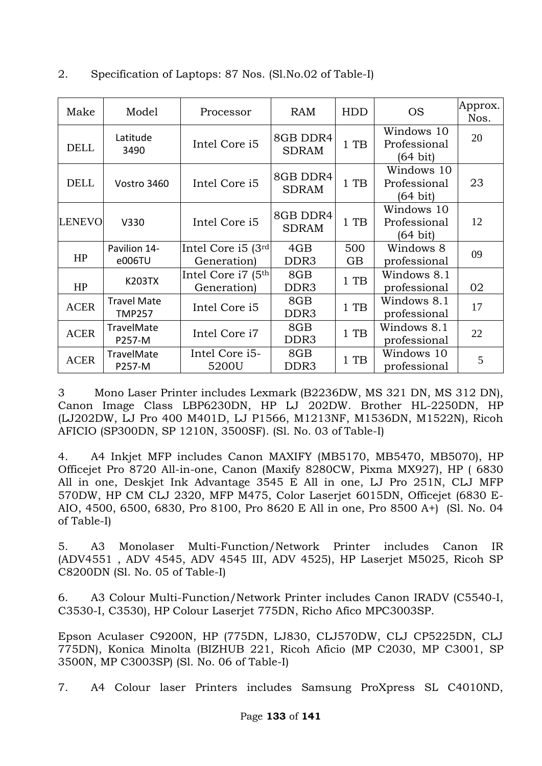| Make          | Model                               | Processor                                       | RAM                      | <b>HDD</b> | <b>OS</b>                                        | Approx.<br>Nos. |
|---------------|-------------------------------------|-------------------------------------------------|--------------------------|------------|--------------------------------------------------|-----------------|
| <b>DELL</b>   | Latitude<br>3490                    | Intel Core i5                                   | 8GB DDR4<br><b>SDRAM</b> | $1$ TB     | Windows 10<br>Professional<br>$(64 \text{ bit})$ | 20              |
| <b>DELL</b>   | Vostro 3460                         | Intel Core i5                                   | 8GB DDR4<br><b>SDRAM</b> | $1$ TB     | Windows 10<br>Professional<br>(64 bit)           | 23              |
| <b>LENEVO</b> | V330                                | Intel Core i5                                   | 8GB DDR4<br><b>SDRAM</b> | $1$ TB     | Windows 10<br>Professional<br>$(64 \text{ bit})$ | 12              |
| HP            | Pavilion 14-<br>e006TU              | Intel Core i5 (3rd<br>Generation)               | 4GB<br>DDR <sub>3</sub>  | 500<br>GB  | Windows 8<br>professional                        | 09              |
| HP            | <b>K203TX</b>                       | Intel Core i7 (5 <sup>th</sup> )<br>Generation) | 8GB<br>DDR <sub>3</sub>  | $1$ TB     | Windows 8.1<br>professional                      | 02              |
| <b>ACER</b>   | <b>Travel Mate</b><br><b>TMP257</b> | Intel Core i5                                   | 8GB<br>DDR <sub>3</sub>  | 1 TB       | Windows 8.1<br>professional                      | 17              |
| <b>ACER</b>   | TravelMate<br>P257-M                | Intel Core i7                                   | 8GB<br>DDR <sub>3</sub>  | $1$ TB     | Windows 8.1<br>professional                      | 22              |
| <b>ACER</b>   | TravelMate<br>P257-M                | Intel Core i5-<br>5200U                         | 8GB<br>DDR <sub>3</sub>  | 1 TB       | Windows 10<br>professional                       | 5               |

## 2. Specification of Laptops: 87 Nos. (Sl.No.02 of Table-I)

3 Mono Laser Printer includes Lexmark (B2236DW, MS 321 DN, MS 312 DN), Canon Image Class LBP6230DN, HP LJ 202DW. Brother HL-2250DN, HP (LJ202DW, LJ Pro 400 M401D, LJ P1566, M1213NF, M1536DN, M1522N), Ricoh AFICIO (SP300DN, SP 1210N, 3500SF). (Sl. No. 03 of Table-I)

4. A4 Inkjet MFP includes Canon MAXIFY (MB5170, MB5470, MB5070), HP Officejet Pro 8720 All-in-one, Canon (Maxify 8280CW, Pixma MX927), HP ( 6830 All in one, Deskjet Ink Advantage 3545 E All in one, LJ Pro 251N, CLJ MFP 570DW, HP CM CLJ 2320, MFP M475, Color Laserjet 6015DN, Officejet (6830 E-AIO, 4500, 6500, 6830, Pro 8100, Pro 8620 E All in one, Pro 8500 A+) (Sl. No. 04 of Table-I)

5. A3 Monolaser Multi-Function/Network Printer includes Canon IR (ADV4551 , ADV 4545, ADV 4545 III, ADV 4525), HP Laserjet M5025, Ricoh SP C8200DN (Sl. No. 05 of Table-I)

6. A3 Colour Multi-Function/Network Printer includes Canon IRADV (C5540-I, C3530-I, C3530), HP Colour Laserjet 775DN, Richo Afico MPC3003SP.

Epson Aculaser C9200N, HP (775DN, LJ830, CLJ570DW, CLJ CP5225DN, CLJ 775DN), Konica Minolta (BIZHUB 221, Ricoh Aficio (MP C2030, MP C3001, SP 3500N, MP C3003SP) (Sl. No. 06 of Table-I)

7. A4 Colour laser Printers includes Samsung ProXpress SL C4010ND,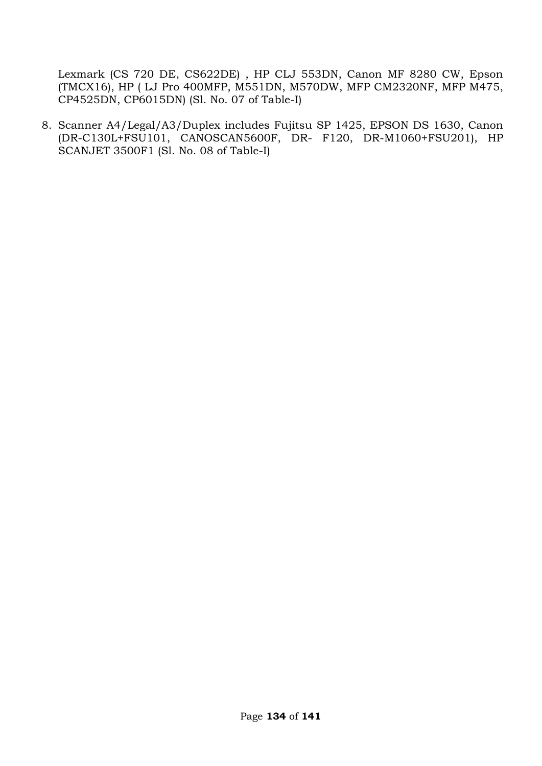Lexmark (CS 720 DE, CS622DE) , HP CLJ 553DN, Canon MF 8280 CW, Epson (TMCX16), HP ( LJ Pro 400MFP, M551DN, M570DW, MFP CM2320NF, MFP M475, CP4525DN, CP6015DN) (Sl. No. 07 of Table-I)

8. Scanner A4/Legal/A3/Duplex includes Fujitsu SP 1425, EPSON DS 1630, Canon (DR-C130L+FSU101, CANOSCAN5600F, DR- F120, DR-M1060+FSU201), HP SCANJET 3500F1 (Sl. No. 08 of Table-I)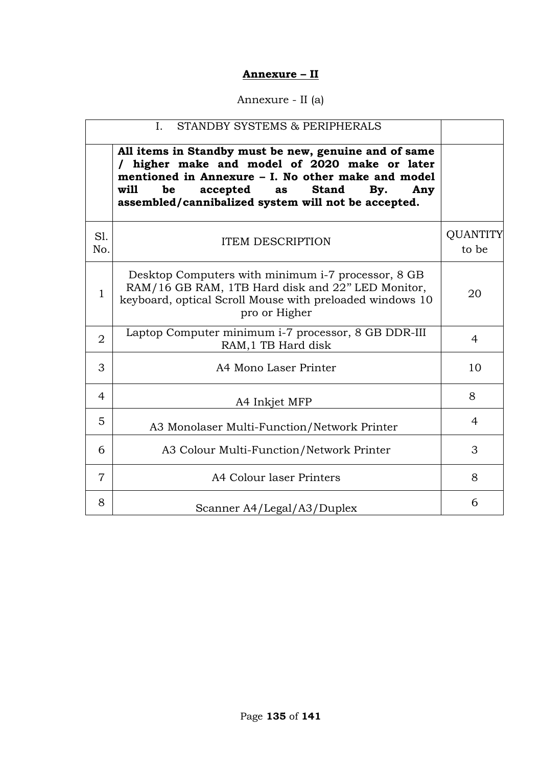### **Annexure – II**

## Annexure - II (a)

|                | STANDBY SYSTEMS & PERIPHERALS<br>L.                                                                                                                                                                                                                                                 |                          |
|----------------|-------------------------------------------------------------------------------------------------------------------------------------------------------------------------------------------------------------------------------------------------------------------------------------|--------------------------|
|                | All items in Standby must be new, genuine and of same<br>higher make and model of 2020 make or later<br>$\mathcal{L}$<br>mentioned in Annexure - I. No other make and model<br>will<br>accepted as Stand<br>be<br>By.<br>Any<br>assembled/cannibalized system will not be accepted. |                          |
| Sl.<br>No.     | <b>ITEM DESCRIPTION</b>                                                                                                                                                                                                                                                             | <b>QUANTITY</b><br>to be |
| $\mathbf{1}$   | Desktop Computers with minimum i-7 processor, 8 GB<br>RAM/16 GB RAM, 1TB Hard disk and 22" LED Monitor,<br>keyboard, optical Scroll Mouse with preloaded windows 10<br>pro or Higher                                                                                                | 20                       |
| $\overline{2}$ | Laptop Computer minimum i-7 processor, 8 GB DDR-III<br>RAM, 1 TB Hard disk                                                                                                                                                                                                          | 4                        |
| 3              | A4 Mono Laser Printer                                                                                                                                                                                                                                                               | 10                       |
| $\overline{4}$ | A4 Inkjet MFP                                                                                                                                                                                                                                                                       | 8                        |
| 5              | A3 Monolaser Multi-Function/Network Printer                                                                                                                                                                                                                                         | 4                        |
| 6              | A3 Colour Multi-Function/Network Printer                                                                                                                                                                                                                                            | 3                        |
| $\overline{7}$ | A4 Colour laser Printers                                                                                                                                                                                                                                                            | 8                        |
| 8              | Scanner A4/Legal/A3/Duplex                                                                                                                                                                                                                                                          | 6                        |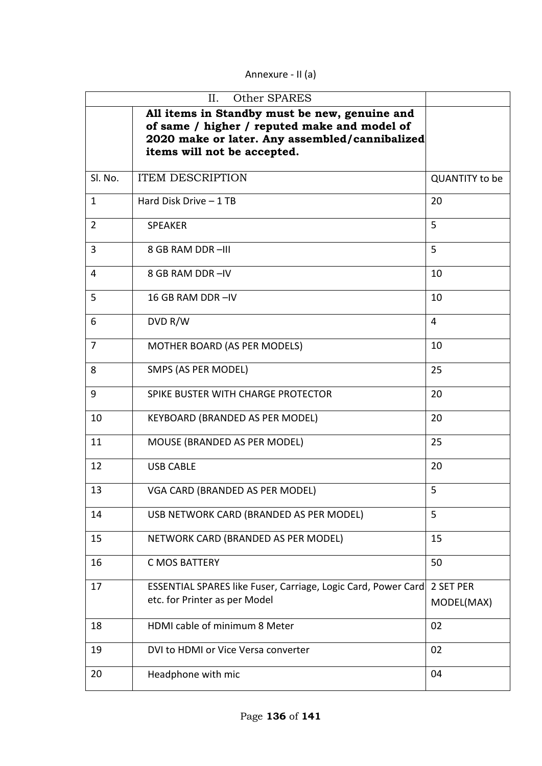### Annexure - II (a)

|                | Other SPARES<br>II.                                                                                                                                                            |                         |
|----------------|--------------------------------------------------------------------------------------------------------------------------------------------------------------------------------|-------------------------|
|                | All items in Standby must be new, genuine and<br>of same / higher / reputed make and model of<br>2020 make or later. Any assembled/cannibalized<br>items will not be accepted. |                         |
| SI. No.        | <b>ITEM DESCRIPTION</b>                                                                                                                                                        | QUANTITY to be          |
| 1              | Hard Disk Drive - 1 TB                                                                                                                                                         | 20                      |
| $\overline{2}$ | <b>SPEAKER</b>                                                                                                                                                                 | 5                       |
| 3              | 8 GB RAM DDR-III                                                                                                                                                               | 5                       |
| 4              | 8 GB RAM DDR-IV                                                                                                                                                                | 10                      |
| 5              | 16 GB RAM DDR-IV                                                                                                                                                               | 10                      |
| 6              | DVD R/W                                                                                                                                                                        | 4                       |
| $\overline{7}$ | MOTHER BOARD (AS PER MODELS)                                                                                                                                                   | 10                      |
| 8              | SMPS (AS PER MODEL)                                                                                                                                                            | 25                      |
| 9              | SPIKE BUSTER WITH CHARGE PROTECTOR                                                                                                                                             | 20                      |
| 10             | <b>KEYBOARD (BRANDED AS PER MODEL)</b>                                                                                                                                         | 20                      |
| 11             | MOUSE (BRANDED AS PER MODEL)                                                                                                                                                   | 25                      |
| 12             | <b>USB CABLE</b>                                                                                                                                                               | 20                      |
| 13             | VGA CARD (BRANDED AS PER MODEL)                                                                                                                                                | 5                       |
| 14             | USB NETWORK CARD (BRANDED AS PER MODEL)                                                                                                                                        | 5                       |
| 15             | NETWORK CARD (BRANDED AS PER MODEL)                                                                                                                                            | 15                      |
| 16             | <b>C MOS BATTERY</b>                                                                                                                                                           | 50                      |
| 17             | ESSENTIAL SPARES like Fuser, Carriage, Logic Card, Power Card<br>etc. for Printer as per Model                                                                                 | 2 SET PER<br>MODEL(MAX) |
| 18             | HDMI cable of minimum 8 Meter                                                                                                                                                  | 02                      |
| 19             | DVI to HDMI or Vice Versa converter                                                                                                                                            | 02                      |
| 20             | Headphone with mic                                                                                                                                                             | 04                      |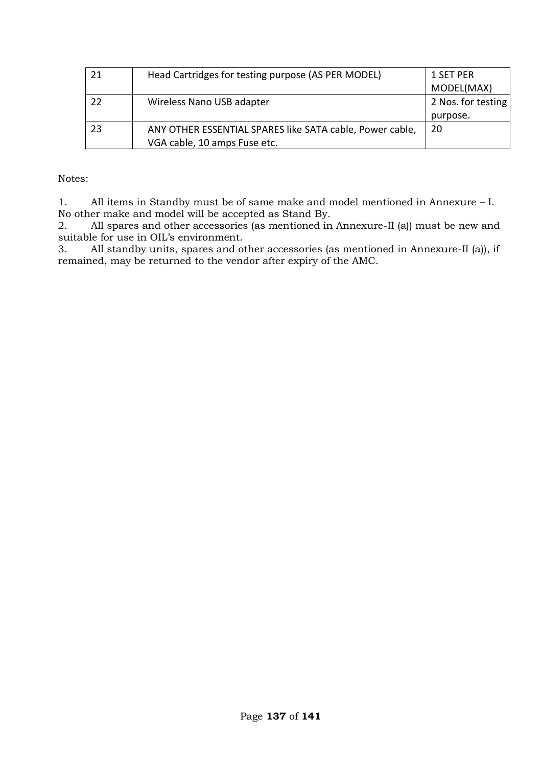| 21 | Head Cartridges for testing purpose (AS PER MODEL)       | 1 SET PER          |
|----|----------------------------------------------------------|--------------------|
|    |                                                          | MODEL(MAX)         |
| 22 | Wireless Nano USB adapter                                | 2 Nos. for testing |
|    |                                                          | purpose.           |
| 23 | ANY OTHER ESSENTIAL SPARES like SATA cable, Power cable, | 20                 |
|    | VGA cable, 10 amps Fuse etc.                             |                    |

Notes:

1. All items in Standby must be of same make and model mentioned in Annexure – I. No other make and model will be accepted as Stand By.

2. All spares and other accessories (as mentioned in Annexure-II (a)) must be new and suitable for use in OIL's environment.

3. All standby units, spares and other accessories (as mentioned in Annexure-II (a)), if remained, may be returned to the vendor after expiry of the AMC.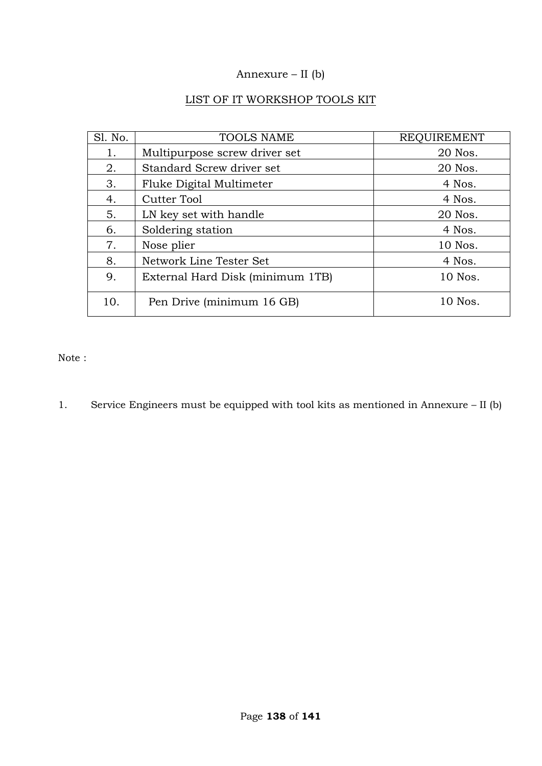## Annexure – II (b)

### LIST OF IT WORKSHOP TOOLS KIT

| Sl. No. | <b>TOOLS NAME</b>                | <b>REQUIREMENT</b> |
|---------|----------------------------------|--------------------|
| 1.      | Multipurpose screw driver set    | 20 Nos.            |
| 2.      | Standard Screw driver set        | 20 Nos.            |
| 3.      | Fluke Digital Multimeter         | 4 Nos.             |
| 4.      | <b>Cutter Tool</b>               | 4 Nos.             |
| 5.      | LN key set with handle           | 20 Nos.            |
| 6.      | Soldering station                | 4 Nos.             |
| 7.      | Nose plier                       | 10 Nos.            |
| 8.      | Network Line Tester Set          | 4 Nos.             |
| 9.      | External Hard Disk (minimum 1TB) | 10 Nos.            |
| 10.     | Pen Drive (minimum 16 GB)        | 10 Nos.            |

Note :

1. Service Engineers must be equipped with tool kits as mentioned in Annexure – II (b)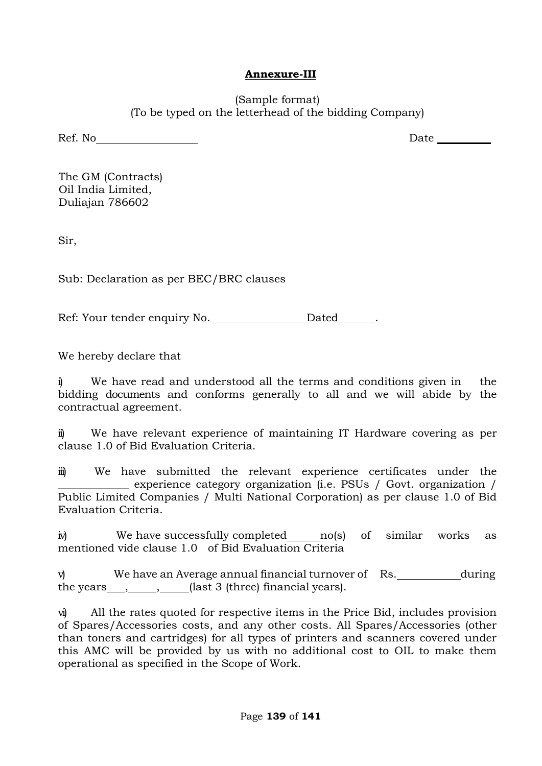### **Annexure-III**

(Sample format) (To be typed on the letterhead of the bidding Company)

Ref. No Date

The GM (Contracts) Oil India Limited, Duliajan 786602

Sir,

Sub: Declaration as per BEC/BRC clauses

Ref: Your tender enquiry No. Dated .

We hereby declare that

i) We have read and understood all the terms and conditions given in the bidding documents and conforms generally to all and we will abide by the contractual agreement.

ii) We have relevant experience of maintaining IT Hardware covering as per clause 1.0 of Bid Evaluation Criteria.

iii) We have submitted the relevant experience certificates under the \_\_\_\_\_\_\_\_\_\_\_\_\_ experience category organization (i.e. PSUs / Govt. organization / Public Limited Companies / Multi National Corporation) as per clause 1.0 of Bid Evaluation Criteria.

iv) We have successfully completed no(s) of similar works as mentioned vide clause 1.0 of Bid Evaluation Criteria

v) We have an Average annual financial turnover of Rs. Suring the years  $\ldots$ , (last 3 (three) financial years).

vi) All the rates quoted for respective items in the Price Bid, includes provision of Spares/Accessories costs, and any other costs. All Spares/Accessories (other than toners and cartridges) for all types of printers and scanners covered under this AMC will be provided by us with no additional cost to OIL to make them operational as specified in the Scope of Work.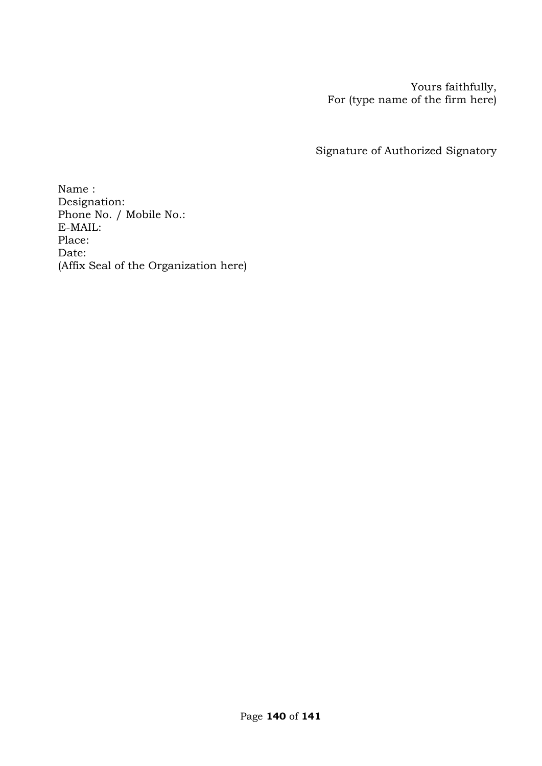Yours faithfully, For (type name of the firm here)

Signature of Authorized Signatory

Name : Designation: Phone No. / Mobile No.: E-MAIL: Place: Date: (Affix Seal of the Organization here)